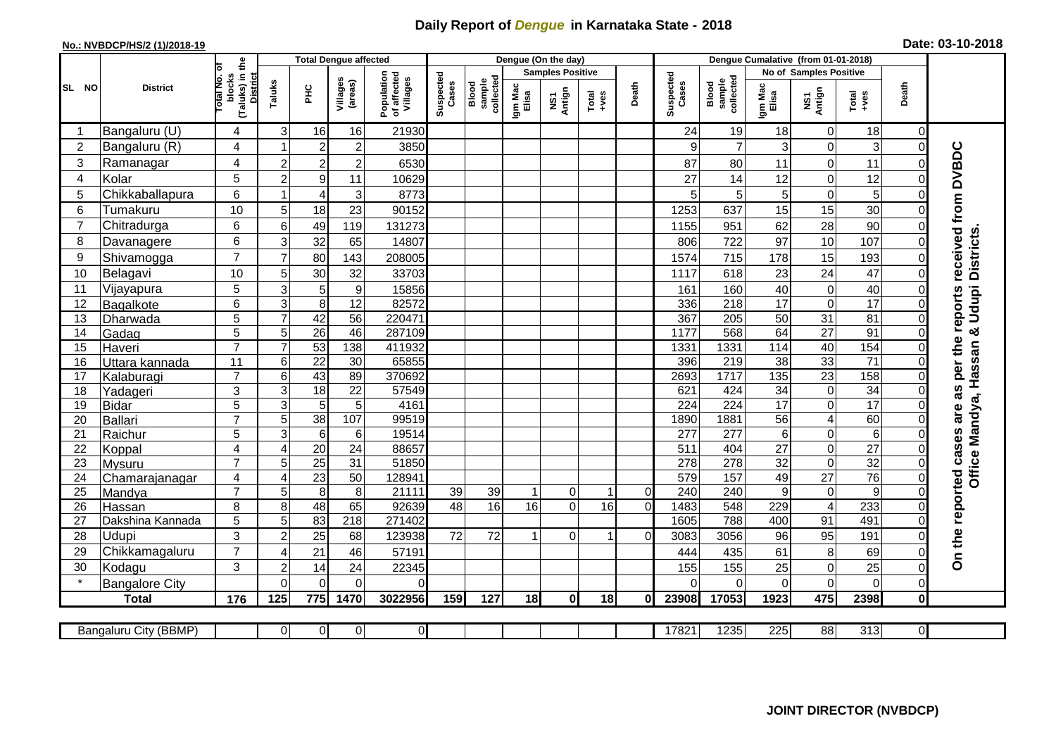## **Daily Report of** *Dengue* **in Karnataka State - 2018**

## **No.: NVBDCP/HS/2 (1)/2018-19 Date: 03-10-2018**

|                 |                       |                                                      | <b>Total Dengue affected</b> |                      |                     |                                       |                    |                              |                         | Dengue (On the day) |                  |                |                          |                              |                      |                                      |                  |                         |                                              |
|-----------------|-----------------------|------------------------------------------------------|------------------------------|----------------------|---------------------|---------------------------------------|--------------------|------------------------------|-------------------------|---------------------|------------------|----------------|--------------------------|------------------------------|----------------------|--------------------------------------|------------------|-------------------------|----------------------------------------------|
|                 |                       |                                                      |                              |                      |                     |                                       |                    |                              | <b>Samples Positive</b> |                     |                  |                |                          |                              |                      | No of Samples Positive               |                  |                         |                                              |
| SL NO           | <b>District</b>       | (Taluks) in the<br>District<br>otal No. ol<br>blocks | Taluks                       | Ξ                    | Villages<br>(areas) | Population<br>of affected<br>Villages | Suspected<br>Cases | collected<br>Blood<br>sample | Igm Mac<br>Elisa        | NS1<br>Antign       | $Tota$<br>$+ves$ | Death          | Suspected<br>Cases       | collected<br>sample<br>Blood | Igm Mac<br>Elisa     | NS1<br>Antign                        | Total<br>$+ve$ s | Death                   |                                              |
|                 | Bangaluru (U)         | 4                                                    | 3                            | 16                   | 16                  | 21930                                 |                    |                              |                         |                     |                  |                | 24                       | 19                           | 18                   | $\mathbf 0$                          | 18               | 0                       |                                              |
| $\overline{2}$  | Bangaluru (R)         | $\overline{4}$                                       |                              | $\overline{c}$       | $\boldsymbol{2}$    | 3850                                  |                    |                              |                         |                     |                  |                | 9                        | $\overline{7}$               | 3                    | $\pmb{0}$                            | 3                | $\mathbf 0$             |                                              |
| 3               | Ramanagar             | 4                                                    | $\overline{c}$               | $\overline{2}$       | $\overline{c}$      | 6530                                  |                    |                              |                         |                     |                  |                | 87                       | 80                           | 11                   | $\mathbf 0$                          | 11               | 0                       | received from DVBDC                          |
| 4               | Kolar                 | 5                                                    | $\overline{c}$               | $\boldsymbol{9}$     | 11                  | 10629                                 |                    |                              |                         |                     |                  |                | 27                       | 14                           | 12                   | $\overline{0}$                       | 12               | $\Omega$                |                                              |
| 5               | Chikkaballapura       | 6                                                    | 1                            | $\overline{4}$       | 3                   | 8773                                  |                    |                              |                         |                     |                  |                | 5                        | 5                            | $\overline{5}$       | $\pmb{0}$                            | 5                | 0                       |                                              |
| 6               | Tumakuru              | 10                                                   | 5                            | 18                   | 23                  | 90152                                 |                    |                              |                         |                     |                  |                | 1253                     | 637                          | 15                   | 15                                   | 30               | $\overline{0}$          |                                              |
| 7               | Chitradurga           | 6                                                    | 6                            | 49                   | 119                 | 131273                                |                    |                              |                         |                     |                  |                | 1155                     | 951                          | 62                   | 28                                   | 90               | 0                       |                                              |
| 8               | Davanagere            | 6                                                    | 3                            | 32                   | 65                  | 14807                                 |                    |                              |                         |                     |                  |                | 806                      | 722                          | 97                   | 10                                   | 107              | 0                       |                                              |
| 9               | Shivamogga            | $\overline{7}$                                       | $\overline{7}$               | 80                   | 143                 | 208005                                |                    |                              |                         |                     |                  |                | 1574                     | 715                          | 178                  | 15                                   | 193              | 0                       | <b>Districts</b>                             |
| 10              | Belagavi              | 10                                                   | 5                            | 30                   | 32                  | 33703                                 |                    |                              |                         |                     |                  |                | 1117                     | 618                          | 23                   | 24                                   | 47               | $\mathsf{O}\xspace$     |                                              |
| 11              | Vijayapura            | 5                                                    | 3                            | 5                    | $\boldsymbol{9}$    | 15856                                 |                    |                              |                         |                     |                  |                | 161                      | 160                          | 40                   | $\pmb{0}$                            | 40               | $\mathbf 0$             |                                              |
| 12              | Bagalkote             | 6                                                    | 3                            | $\overline{8}$       | 12                  | 82572                                 |                    |                              |                         |                     |                  |                | 336                      | $\overline{218}$             | 17                   | $\mathbf 0$                          | 17               | $\Omega$                | Udupi                                        |
| 13              | Dharwada              | 5                                                    | $\overline{7}$               | 42                   | $\overline{56}$     | 220471                                |                    |                              |                         |                     |                  |                | 367                      | 205                          | 50                   | 31                                   | 81               | $\overline{\mathsf{o}}$ |                                              |
| 14              | Gadag                 | $\overline{5}$                                       | 5                            | 26                   | 46                  | 287109                                |                    |                              |                         |                     |                  |                | 1177                     | 568                          | 64                   | 27                                   | $\overline{91}$  | $\mathbf 0$             | ×ŏ                                           |
| 15              | Haveri                | $\overline{7}$                                       | $\overline{7}$               | 53                   | 138                 | 411932                                |                    |                              |                         |                     |                  |                | 1331                     | 1331                         | 114                  | 40                                   | 154              | $\mathbf 0$             |                                              |
| 16              | Uttara kannada        | 11                                                   | 6                            | $\overline{22}$      | 30                  | 65855                                 |                    |                              |                         |                     |                  |                | 396                      | $\overline{219}$             | 38                   | 33                                   | 71               | $\mathsf{O}\xspace$     |                                              |
| 17              | Kalaburagi            | $\overline{7}$                                       | 6                            | 43                   | 89                  | 370692                                |                    |                              |                         |                     |                  |                | 2693                     | 1717                         | $\overline{135}$     | $\overline{23}$                      | 158              | $\mathbf 0$             |                                              |
| 18              | Yadageri              | 3                                                    | 3                            | $\overline{18}$      | 22                  | 57549                                 |                    |                              |                         |                     |                  |                | 621                      | 424                          | 34                   | $\mathbf 0$                          | $\overline{34}$  | $\overline{0}$          |                                              |
| 19              | <b>Bidar</b>          | 5<br>$\overline{7}$                                  | $\overline{3}$               | $\overline{5}$       | 5                   | 4161                                  |                    |                              |                         |                     |                  |                | 224                      | 224                          | 17                   | $\overline{0}$                       | 17               | $\Omega$                |                                              |
| 20<br>21        | <b>Ballari</b>        | 5                                                    | 5<br>دی                      | 38<br>$\overline{6}$ | 107<br>6            | 99519<br>19514                        |                    |                              |                         |                     |                  |                | 1890<br>$\overline{277}$ | 1881<br>277                  | 56<br>$6\phantom{1}$ | $\overline{\mathbf{4}}$<br>$\pmb{0}$ | 60<br>6          | 0<br>$\mathbf 0$        |                                              |
| 22              | Raichur<br>Koppal     | $\overline{4}$                                       | 4                            | $\overline{20}$      | 24                  | 88657                                 |                    |                              |                         |                     |                  |                | 511                      | 404                          | $\overline{27}$      | $\mathbf 0$                          | $\overline{27}$  | $\overline{0}$          |                                              |
| 23              | <b>Mysuru</b>         | $\overline{7}$                                       | 5                            | $\overline{25}$      | $\overline{31}$     | 51850                                 |                    |                              |                         |                     |                  |                | 278                      | 278                          | $\overline{32}$      | $\mathbf 0$                          | $\overline{32}$  | $\mathbf 0$             |                                              |
| 24              | Chamarajanagar        | $\overline{4}$                                       | 4                            | 23                   | 50                  | 128941                                |                    |                              |                         |                     |                  |                | 579                      | 157                          | 49                   | $\overline{27}$                      | 76               | $\overline{\mathsf{o}}$ | Office Mandya, Hassan                        |
| $\overline{25}$ | Mandya                | $\overline{7}$                                       | 5                            | $\overline{8}$       | 8                   | 21111                                 | 39                 | 39                           |                         | $\overline{0}$      |                  | $\overline{0}$ | 240                      | 240                          | 9                    | $\pmb{0}$                            | 9                | $\mathbf 0$             |                                              |
| 26              | Hassan                | 8                                                    | 8                            | 48                   | 65                  | 92639                                 | $\overline{48}$    | 16                           | 16                      | $\overline{0}$      | 16               | $\overline{0}$ | 1483                     | 548                          | 229                  | $\overline{4}$                       | 233              | $\mathbf 0$             |                                              |
| 27              | Dakshina Kannada      | 5                                                    | 5                            | 83                   | 218                 | 271402                                |                    |                              |                         |                     |                  |                | 1605                     | 788                          | 400                  | 91                                   | 491              | $\overline{\mathsf{o}}$ |                                              |
| 28              | Udupi                 | 3                                                    | $\overline{c}$               | 25                   | 68                  | 123938                                | 72                 | 72                           |                         | $\Omega$            |                  | $\Omega$       | 3083                     | 3056                         | 96                   | 95                                   | 191              | 0                       |                                              |
| 29              | Chikkamagaluru        | $\overline{7}$                                       | 4                            | 21                   | 46                  | 57191                                 |                    |                              |                         |                     |                  |                | 444                      | 435                          | 61                   | 8                                    | 69               | 0                       | On the reported cases are as per the reports |
| 30              | Kodagu                | 3                                                    | $\overline{c}$               | 14                   | 24                  | 22345                                 |                    |                              |                         |                     |                  |                | 155                      | 155                          | 25                   | $\mathbf 0$                          | 25               | $\mathbf 0$             |                                              |
|                 | <b>Bangalore City</b> |                                                      | $\overline{0}$               | $\Omega$             | $\overline{0}$      | $\Omega$                              |                    |                              |                         |                     |                  |                | $\Omega$                 | $\Omega$                     | $\Omega$             | $\mathbf 0$                          | $\Omega$         | $\overline{0}$          |                                              |
|                 | <b>Total</b>          | 176                                                  | 125                          | 775                  | 1470                | 3022956                               | 159                | 127                          | 18                      | 0                   | 18               | ΩI             | 23908                    | 17053                        | 1923                 | 475                                  | 2398             | $\pmb{0}$               |                                              |
|                 |                       |                                                      |                              |                      |                     |                                       |                    |                              |                         |                     |                  |                |                          |                              |                      |                                      |                  |                         |                                              |
|                 | Bangaluru City (BBMP) |                                                      | $\overline{0}$               | $\overline{0}$       | $\overline{0}$      | $\overline{0}$                        |                    |                              |                         |                     |                  |                | 17821                    | 1235                         | 225                  | 88                                   | 313              | $\overline{0}$          |                                              |